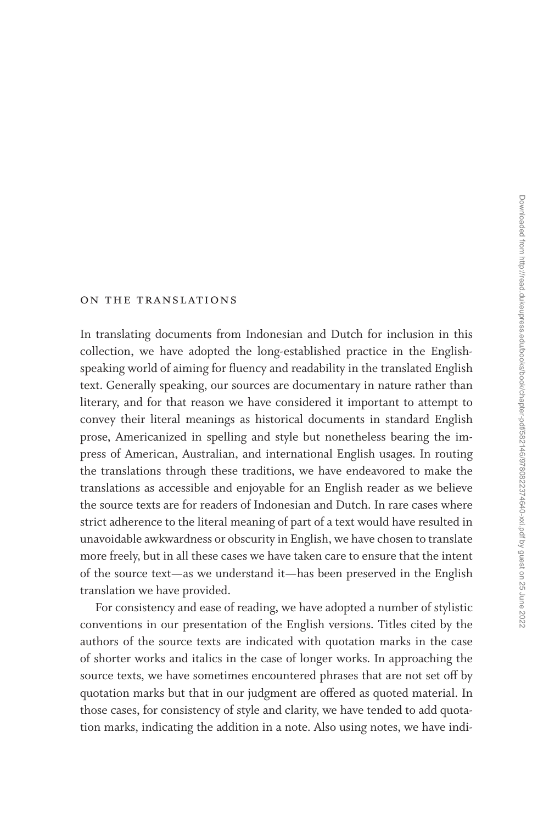## [on the translations](#page--1-0)

In translating documents from Indonesian and Dutch for inclusion in this collection, we have adopted the long-established practice in the Englishspeaking world of aiming for fluency and readability in the translated English text. Generally speaking, our sources are documentary in nature rather than literary, and for that reason we have considered it important to attempt to convey their literal meanings as historical documents in standard English prose, Americanized in spelling and style but nonetheless bearing the impress of American, Australian, and international English usages. In routing the translations through these traditions, we have endeavored to make the translations as accessible and enjoyable for an English reader as we believe the source texts are for readers of Indonesian and Dutch. In rare cases where strict adherence to the literal meaning of part of a text would have resulted in unavoidable awkwardness or obscurity in English, we have chosen to translate more freely, but in all these cases we have taken care to ensure that the intent of the source text—as we understand it—has been preserved in the English translation we have provided.

For consistency and ease of reading, we have adopted a number of stylistic conventions in our presentation of the English versions. Titles cited by the authors of the source texts are indicated with quotation marks in the case of shorter works and italics in the case of longer works. In approaching the source texts, we have sometimes encountered phrases that are not set off by quotation marks but that in our judgment are offered as quoted material. In those cases, for consistency of style and clarity, we have tended to add quotation marks, indicating the addition in a note. Also using notes, we have indi